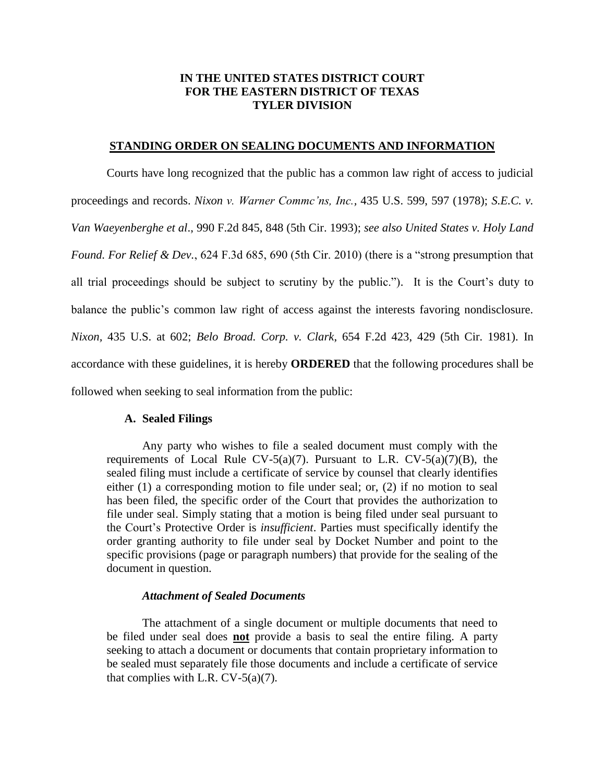# **IN THE UNITED STATES DISTRICT COURT FOR THE EASTERN DISTRICT OF TEXAS TYLER DIVISION**

### **STANDING ORDER ON SEALING DOCUMENTS AND INFORMATION**

Courts have long recognized that the public has a common law right of access to judicial proceedings and records. *Nixon v. Warner Commc'ns, Inc.,* 435 U.S. 599, 597 (1978); *S.E.C. v. Van Waeyenberghe et al*., 990 F.2d 845, 848 (5th Cir. 1993); *see also United States v. Holy Land Found. For Relief & Dev.*, 624 F.3d 685, 690 (5th Cir. 2010) (there is a "strong presumption that all trial proceedings should be subject to scrutiny by the public."). It is the Court's duty to balance the public's common law right of access against the interests favoring nondisclosure. *Nixon,* 435 U.S. at 602; *Belo Broad. Corp. v. Clark*, 654 F.2d 423, 429 (5th Cir. 1981). In accordance with these guidelines, it is hereby **ORDERED** that the following procedures shall be followed when seeking to seal information from the public:

#### **A. Sealed Filings**

Any party who wishes to file a sealed document must comply with the requirements of Local Rule CV-5(a)(7). Pursuant to L.R. CV-5(a)(7)(B), the sealed filing must include a certificate of service by counsel that clearly identifies either (1) a corresponding motion to file under seal; or, (2) if no motion to seal has been filed, the specific order of the Court that provides the authorization to file under seal. Simply stating that a motion is being filed under seal pursuant to the Court's Protective Order is *insufficient*. Parties must specifically identify the order granting authority to file under seal by Docket Number and point to the specific provisions (page or paragraph numbers) that provide for the sealing of the document in question.

#### *Attachment of Sealed Documents*

The attachment of a single document or multiple documents that need to be filed under seal does **not** provide a basis to seal the entire filing. A party seeking to attach a document or documents that contain proprietary information to be sealed must separately file those documents and include a certificate of service that complies with L.R.  $CV-5(a)(7)$ .